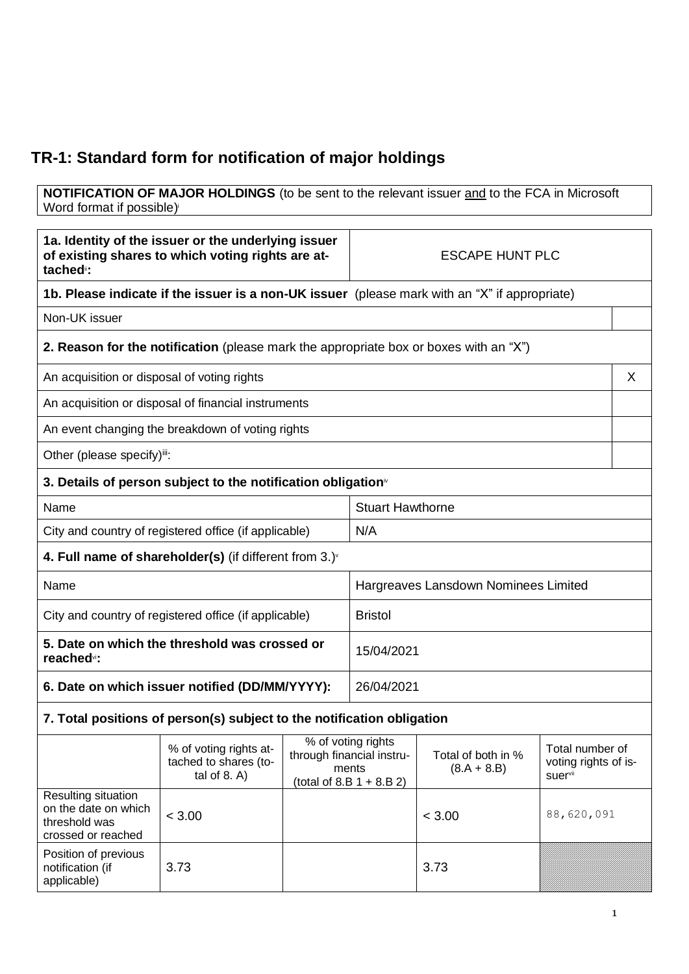## **TR-1: Standard form for notification of major holdings**

**NOTIFICATION OF MAJOR HOLDINGS** (to be sent to the relevant issuer and to the FCA in Microsoft Word format if possible)

| 1a. Identity of the issuer or the underlying issuer<br>of existing shares to which voting rights are at-<br>tached <sup>"</sup> : |                                                                                              | <b>ESCAPE HUNT PLC</b> |                                                                                         |                                     |                                                    |   |
|-----------------------------------------------------------------------------------------------------------------------------------|----------------------------------------------------------------------------------------------|------------------------|-----------------------------------------------------------------------------------------|-------------------------------------|----------------------------------------------------|---|
| 1b. Please indicate if the issuer is a non-UK issuer (please mark with an "X" if appropriate)                                     |                                                                                              |                        |                                                                                         |                                     |                                                    |   |
| Non-UK issuer                                                                                                                     |                                                                                              |                        |                                                                                         |                                     |                                                    |   |
|                                                                                                                                   | <b>2. Reason for the notification</b> (please mark the appropriate box or boxes with an "X") |                        |                                                                                         |                                     |                                                    |   |
| An acquisition or disposal of voting rights                                                                                       |                                                                                              |                        |                                                                                         |                                     |                                                    | X |
|                                                                                                                                   | An acquisition or disposal of financial instruments                                          |                        |                                                                                         |                                     |                                                    |   |
|                                                                                                                                   | An event changing the breakdown of voting rights                                             |                        |                                                                                         |                                     |                                                    |   |
| Other (please specify)iii:                                                                                                        |                                                                                              |                        |                                                                                         |                                     |                                                    |   |
|                                                                                                                                   | 3. Details of person subject to the notification obligation <sup>*</sup>                     |                        |                                                                                         |                                     |                                                    |   |
| Name                                                                                                                              |                                                                                              |                        | <b>Stuart Hawthorne</b>                                                                 |                                     |                                                    |   |
| City and country of registered office (if applicable)                                                                             |                                                                                              |                        | N/A                                                                                     |                                     |                                                    |   |
|                                                                                                                                   | 4. Full name of shareholder(s) (if different from $3.$ ) $\sqrt{ }$                          |                        |                                                                                         |                                     |                                                    |   |
| Name                                                                                                                              |                                                                                              |                        | Hargreaves Lansdown Nominees Limited                                                    |                                     |                                                    |   |
| City and country of registered office (if applicable)                                                                             |                                                                                              |                        | <b>Bristol</b>                                                                          |                                     |                                                    |   |
| 5. Date on which the threshold was crossed or<br>reached <sup>vi</sup> :                                                          |                                                                                              |                        | 15/04/2021                                                                              |                                     |                                                    |   |
| 6. Date on which issuer notified (DD/MM/YYYY):                                                                                    |                                                                                              |                        | 26/04/2021                                                                              |                                     |                                                    |   |
|                                                                                                                                   | 7. Total positions of person(s) subject to the notification obligation                       |                        |                                                                                         |                                     |                                                    |   |
|                                                                                                                                   | % of voting rights at-<br>tached to shares (to-<br>tal of $8. A$ )                           |                        | % of voting rights<br>through financial instru-<br>ments<br>(total of $8.B 1 + 8.B 2$ ) | Total of both in %<br>$(8.A + 8.B)$ | Total number of<br>voting rights of is-<br>suervii |   |
| Resulting situation<br>on the date on which<br>threshold was<br>crossed or reached                                                | < 3.00                                                                                       |                        |                                                                                         | < 3.00                              | 88,620,091                                         |   |
| Position of previous<br>notification (if<br>applicable)                                                                           | 3.73                                                                                         |                        |                                                                                         | 3.73                                |                                                    |   |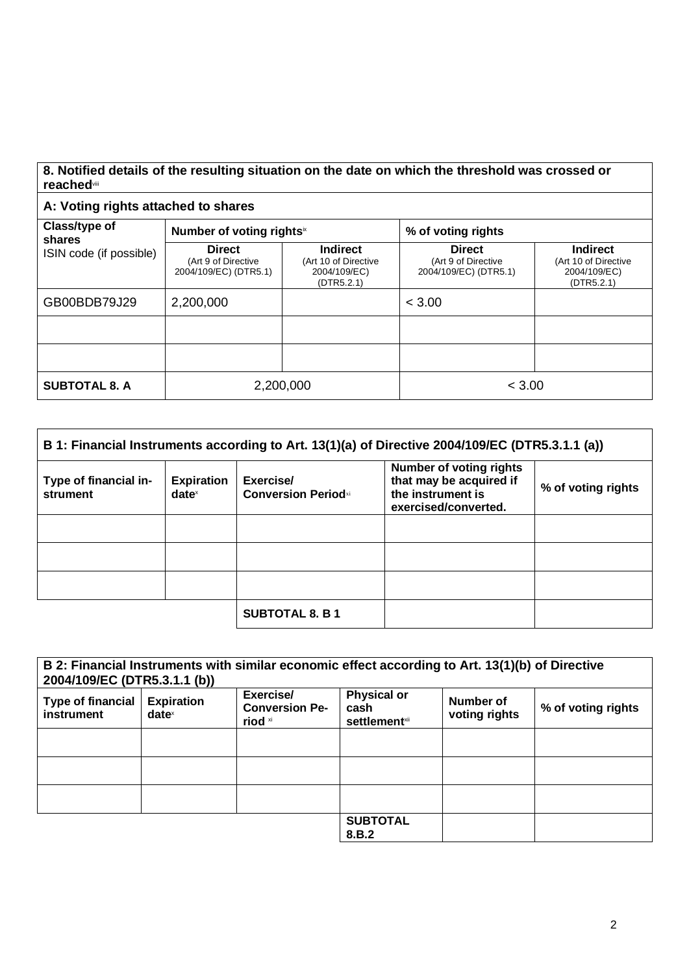## **8. Notified details of the resulting situation on the date on which the threshold was crossed or reached**viii

## **A: Voting rights attached to shares**

| Class/type of<br>shares | Number of voting rights <sup>ix</sup>                         |                                                                | % of voting rights                                            |                                                                       |  |
|-------------------------|---------------------------------------------------------------|----------------------------------------------------------------|---------------------------------------------------------------|-----------------------------------------------------------------------|--|
| ISIN code (if possible) | <b>Direct</b><br>(Art 9 of Directive<br>2004/109/EC) (DTR5.1) | Indirect<br>(Art 10 of Directive<br>2004/109/EC)<br>(DTR5.2.1) | <b>Direct</b><br>(Art 9 of Directive<br>2004/109/EC) (DTR5.1) | <b>Indirect</b><br>(Art 10 of Directive<br>2004/109/EC)<br>(DTR5.2.1) |  |
| GB00BDB79J29            | 2,200,000                                                     |                                                                | < 3.00                                                        |                                                                       |  |
|                         |                                                               |                                                                |                                                               |                                                                       |  |
|                         |                                                               |                                                                |                                                               |                                                                       |  |
| <b>SUBTOTAL 8. A</b>    | 2,200,000                                                     |                                                                | < 3.00                                                        |                                                                       |  |

| B 1: Financial Instruments according to Art. 13(1)(a) of Directive 2004/109/EC (DTR5.3.1.1 (a)) |                                        |                                         |                                                                                                        |                    |
|-------------------------------------------------------------------------------------------------|----------------------------------------|-----------------------------------------|--------------------------------------------------------------------------------------------------------|--------------------|
| Type of financial in-<br>strument                                                               | <b>Expiration</b><br>date <sup>x</sup> | Exercise/<br><b>Conversion Periodxi</b> | <b>Number of voting rights</b><br>that may be acquired if<br>the instrument is<br>exercised/converted. | % of voting rights |
|                                                                                                 |                                        |                                         |                                                                                                        |                    |
|                                                                                                 |                                        |                                         |                                                                                                        |                    |
|                                                                                                 |                                        |                                         |                                                                                                        |                    |
|                                                                                                 |                                        | <b>SUBTOTAL 8. B 1</b>                  |                                                                                                        |                    |

| 2004/109/EC (DTR5.3.1.1 (b))           |                                      | B 2: Financial Instruments with similar economic effect according to Art. 13(1)(b) of Directive |                                                     |                            |                    |
|----------------------------------------|--------------------------------------|-------------------------------------------------------------------------------------------------|-----------------------------------------------------|----------------------------|--------------------|
| <b>Type of financial</b><br>instrument | <b>Expiration</b><br>$date^{\times}$ | Exercise/<br><b>Conversion Pe-</b><br>riod xi                                                   | <b>Physical or</b><br>cash<br><b>settlement</b> xii | Number of<br>voting rights | % of voting rights |
|                                        |                                      |                                                                                                 |                                                     |                            |                    |
|                                        |                                      |                                                                                                 |                                                     |                            |                    |
|                                        |                                      |                                                                                                 |                                                     |                            |                    |
|                                        |                                      |                                                                                                 | <b>SUBTOTAL</b><br>8.B.2                            |                            |                    |